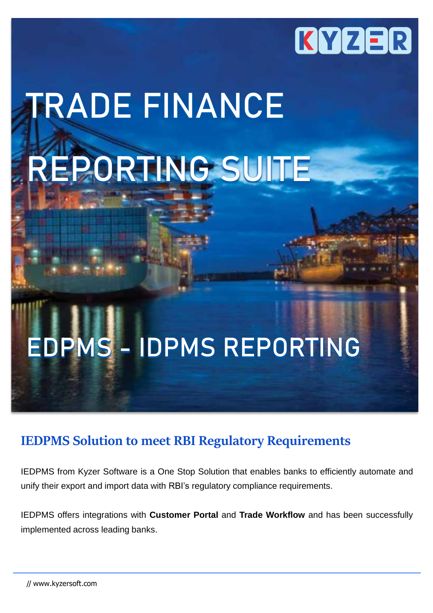

# **TRADE FINANCE REPORTING SUITE**

## **EDPMS - IDPMS REPORTING**

## **IEDPMS Solution to meet RBI Regulatory Requirements**

IEDPMS from Kyzer Software is a One Stop Solution that enables banks to efficiently automate and unify their export and import data with RBI's regulatory compliance requirements.

IEDPMS offers integrations with **Customer Portal** and **Trade Workflow** and has been successfully implemented across leading banks.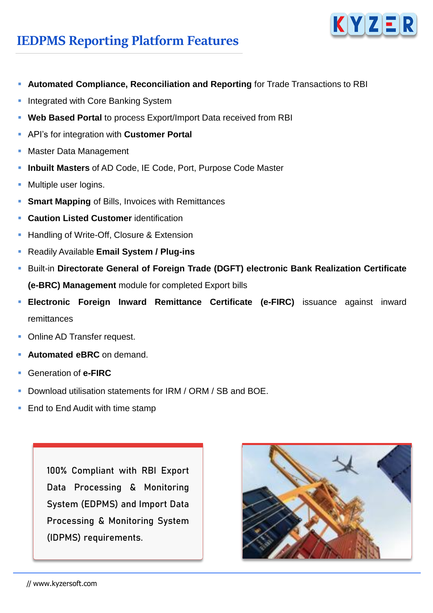

## **IEDPMS Reporting Platform Features**

- **Automated Compliance, Reconciliation and Reporting** for Trade Transactions to RBI
- Integrated with Core Banking System
- **Web Based Portal** to process Export/Import Data received from RBI
- API's for integration with **Customer Portal**
- **Master Data Management**
- **Inbuilt Masters** of AD Code, IE Code, Port, Purpose Code Master
- **Multiple user logins.**
- **Smart Mapping** of Bills, Invoices with Remittances
- **Caution Listed Customer** identification
- **EXECUTE:** Handling of Write-Off, Closure & Extension
- Readily Available **Email System / Plug-ins**
- Built-in **Directorate General of Foreign Trade (DGFT) electronic Bank Realization Certificate (e-BRC) Management** module for completed Export bills
- **Electronic Foreign Inward Remittance Certificate (e-FIRC)** issuance against inward remittances
- **Online AD Transfer request.**
- **Automated eBRC** on demand.
- Generation of **e-FIRC**
- Download utilisation statements for IRM / ORM / SB and BOE.
- End to End Audit with time stamp

100% Compliant with RBI Export Data Processing & Monitoring System (EDPMS) and Import Data Processing & Monitoring System (IDPMS) requirements.

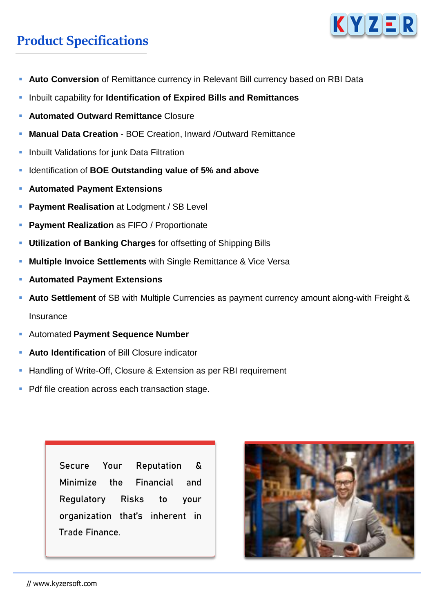## **Product Specifications**



- **Auto Conversion** of Remittance currency in Relevant Bill currency based on RBI Data
- Inbuilt capability for **Identification of Expired Bills and Remittances**
- **Automated Outward Remittance Closure**
- **Manual Data Creation BOE Creation, Inward /Outward Remittance**
- **.** Inbuilt Validations for junk Data Filtration
- Identification of **BOE Outstanding value of 5% and above**
- **Automated Payment Extensions**
- **Payment Realisation** at Lodgment / SB Level
- **Payment Realization** as FIFO / Proportionate
- **Utilization of Banking Charges** for offsetting of Shipping Bills
- **Multiple Invoice Settlements** with Single Remittance & Vice Versa
- **Automated Payment Extensions**
- **Auto Settlement** of SB with Multiple Currencies as payment currency amount along-with Freight & **Insurance**
- Automated **Payment Sequence Number**
- **Auto Identification** of Bill Closure indicator
- Handling of Write-Off, Closure & Extension as per RBI requirement
- Pdf file creation across each transaction stage.

Secure Your Reputation & Minimize the Financial and Regulatory Risks to your organization that's inherent in Trade Finance.

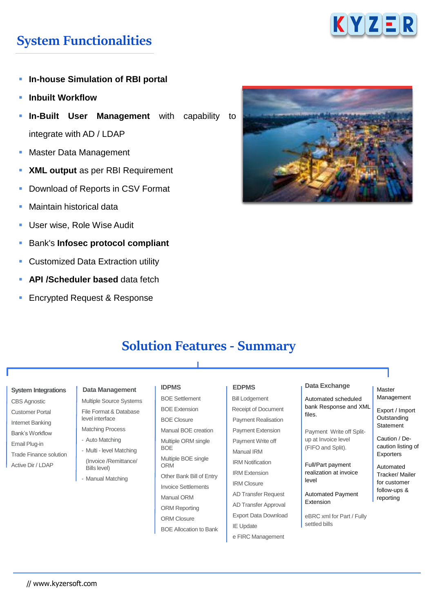

## **System Functionalities**

- **In-house Simulation of RBI portal**
- **Inbuilt Workflow**
- **In-Built User Management** with capability to integrate with AD / LDAP
- Master Data Management
- **XML output** as per RBI Requirement
- Download of Reports in CSV Format
- Maintain historical data
- User wise, Role Wise Audit
- Bank's **Infosec protocol compliant**
- **Customized Data Extraction utility**
- **API** /Scheduler based data fetch
- **Encrypted Request & Response**



## **Solution Features - Summary**

#### **System Integrations**

CBS Agnostic Customer Portal Internet Banking Bank's Workflow Email Plug-in Trade Finance solution Active Dir / LDAP

#### **Data Management**

Multiple Source Systems File Format & Database level interface Matching Process

- Auto Matching
- Multi level Matching (Invoice /Remittance/ Bills level)
- Manual Matching

#### **IDPMS**

BOE Settlement BOE Extension BOE Closure Manual BOE creation Multiple ORM single BOE Multiple BOE single ORM Other Bank Bill of Entry Invoice Settlements Manual ORM ORM Reporting ORM Closure BOE Allocation to Bank

#### **EDPMS**

Bill Lodgement Receipt of Document Payment Realisation Payment Extension Payment Write off Manual IRM IRM Notification IRM Extension IRM Closure AD Transfer Request AD Transfer Approval Export Data Download IE Update e FIRC Management

#### **Data Exchange**

Automated scheduled bank Response and XML files.

Payment Write off Splitup at Invoice level (FIFO and Split).

Full/Part payment realization at invoice level

Automated Payment Extension

eBRC xml for Part / Fully settled bills

#### Master Management

Export / Import **Outstanding** Statement

Caution / Decaution listing of Exporters

Automated Tracker/ Mailer for customer follow-ups & reporting